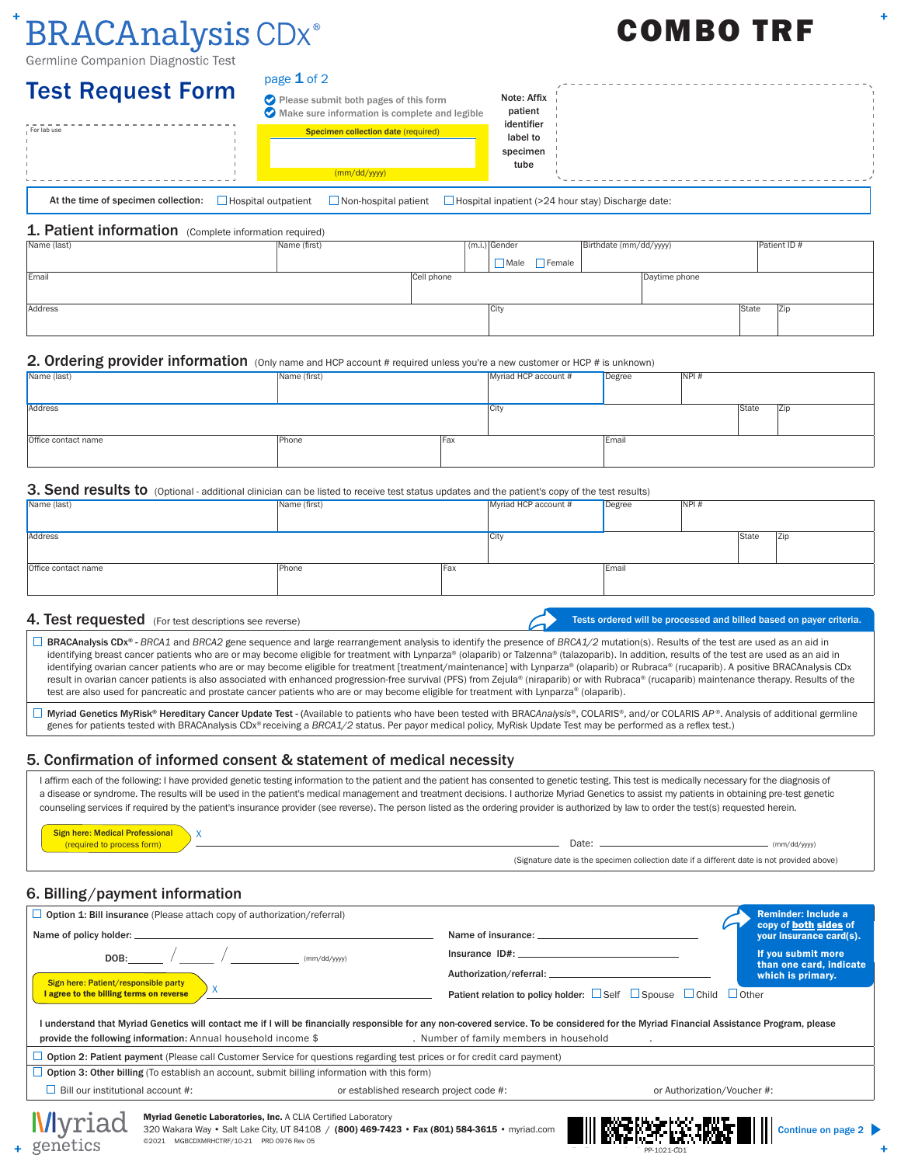# **BRACAnalysis CDx**®

Germline Companion Diagnostic Test

#### page  $1$  of 2

| <b>Test Request Form</b>            | page $1$ of 2              |                                                                                        |                                    |                                                           |  |  |
|-------------------------------------|----------------------------|----------------------------------------------------------------------------------------|------------------------------------|-----------------------------------------------------------|--|--|
|                                     |                            | Please submit both pages of this form<br>Make sure information is complete and legible | Note: Affix<br>patient             |                                                           |  |  |
| For lab use                         |                            | Specimen collection date (required)                                                    | identifier<br>label to<br>specimen |                                                           |  |  |
|                                     |                            | (mm/dd/yyyy)                                                                           | tube                               |                                                           |  |  |
| At the time of specimen collection: | $\Box$ Hospital outpatient | $\Box$ Non-hospital patient                                                            |                                    | $\Box$ Hospital inpatient (>24 hour stay) Discharge date: |  |  |

#### 1. Patient information (Complete information required)

| Name (last) | Name (first) |            | $(m.i.)$ Gender |             | Birthdate (mm/dd/yyyy) |               |       | Patient ID # |
|-------------|--------------|------------|-----------------|-------------|------------------------|---------------|-------|--------------|
|             |              |            |                 | Male Female |                        |               |       |              |
| Email       |              | Cell phone |                 |             |                        | Daytime phone |       |              |
|             |              |            |                 |             |                        |               |       |              |
| Address     |              |            | City            |             |                        |               | State | Zip          |
|             |              |            |                 |             |                        |               |       |              |

#### 2. Ordering provider information (Only name and HCP account # required unless you're a new customer or HCP # is unknown)

| Name (last)         | Name (first) |            | Myriad HCP account # | Degree | NPI# |       |     |
|---------------------|--------------|------------|----------------------|--------|------|-------|-----|
|                     |              |            |                      |        |      |       |     |
| Address             |              |            | <b>City</b>          |        |      | State | Zip |
|                     |              |            |                      |        |      |       |     |
| Office contact name | Phone        | <b>Fax</b> |                      | Email  |      |       |     |
|                     |              |            |                      |        |      |       |     |

#### 3. Send results to (Optional - additional clinician can be listed to receive test status updates and the patient's copy of the test results)

| Name (first) |     |      |       |      |                                         |
|--------------|-----|------|-------|------|-----------------------------------------|
|              |     |      |       |      |                                         |
|              |     |      |       |      | <b>Zip</b>                              |
|              |     |      |       |      |                                         |
| Phone        |     |      |       |      |                                         |
|              |     |      |       |      |                                         |
|              | Fax | City | Email | NPI# | Myriad HCP account #<br>Degree<br>State |

#### 4. Test requested (For test descriptions see reverse)

Tests ordered will be processed and billed based on payer criteria.

COMBO TRF

BRACAnalysis CDx® - *BRCA1* and *BRCA2* gene sequence and large rearrangement analysis to identify the presence of *BRCA1/2* mutation(s). Results of the test are used as an aid in identifying breast cancer patients who are or may become eligible for treatment with Lynparza® (olaparib) or Talzenna® (talazoparib). In addition, results of the test are used as an aid in identifying ovarian cancer patients who are or may become eligible for treatment [treatment/maintenance] with Lynparza® (olaparib) or Rubraca® (rucaparib). A positive BRACAnalysis CDx result in ovarian cancer patients is also associated with enhanced progression-free survival (PFS) from Zejula® (niraparib) or with Rubraca® (rucaparib) maintenance therapy. Results of the test are also used for pancreatic and prostate cancer patients who are or may become eligible for treatment with Lynparza® (olaparib).

 Myriad Genetics MyRisk® Hereditary Cancer Update Test - (Available to patients who have been tested with BRAC*Analysis*®, COLARIS®, and/or COLARIS *AP* ®. Analysis of additional germline genes for patients tested with BRACAnalysis CDx® receiving a *BRCA1/2* status. Per payor medical policy, MyRisk Update Test may be performed as a reflex test.)

#### 5. Confirmation of informed consent & statement of medical necessity

I affirm each of the following: I have provided genetic testing information to the patient and the patient has consented to genetic testing. This test is medically necessary for the diagnosis of a disease or syndrome. The results will be used in the patient's medical management and treatment decisions. I authorize Myriad Genetics to assist my patients in obtaining pre-test genetic counseling services if required by the patient's insurance provider (see reverse). The person listed as the ordering provider is authorized by law to order the test(s) requested herein.

| <b>Sign here: Medical Professional</b> |                                                                                            |             |
|----------------------------------------|--------------------------------------------------------------------------------------------|-------------|
| (required to process form)             | Date:                                                                                      | nm/dd/yyyy) |
|                                        | (Signature date is the specimen collection date if a different date is not provided above) |             |

## 6. Billing/payment information

| Name of policy holder: __                | <b>Option 1: Bill insurance</b> (Please attach copy of authorization/referral) |                                                                                                       |                                                                                                                                                                    |                             | <b>Reminder: Include a</b><br>copy of both sides of<br>your insurance card(s). |
|------------------------------------------|--------------------------------------------------------------------------------|-------------------------------------------------------------------------------------------------------|--------------------------------------------------------------------------------------------------------------------------------------------------------------------|-----------------------------|--------------------------------------------------------------------------------|
| Sign here: Patient/responsible party     | <b>DOB:</b> $\sqrt{\frac{1}{2(1-2)(1-2)}}$ (mm/dd/yyyy)                        |                                                                                                       |                                                                                                                                                                    |                             | If you submit more<br>than one card, indicate<br>which is primary.             |
| I agree to the billing terms on reverse  | X                                                                              |                                                                                                       | Patient relation to policy holder: $\Box$ Self $\Box$ Spouse $\Box$ Child $\Box$ Other                                                                             |                             |                                                                                |
|                                          | provide the following information: Annual household income $$$                 |                                                                                                       | . Number of family members in household<br>Option 2: Patient payment (Please call Customer Service for questions regarding test prices or for credit card payment) |                             |                                                                                |
|                                          |                                                                                | <b>D</b> Option 3: Other billing (To establish an account, submit billing information with this form) |                                                                                                                                                                    |                             |                                                                                |
|                                          |                                                                                |                                                                                                       |                                                                                                                                                                    |                             |                                                                                |
| $\Box$ Bill our institutional account #: |                                                                                |                                                                                                       | or established research project code #:                                                                                                                            | or Authorization/Voucher #: |                                                                                |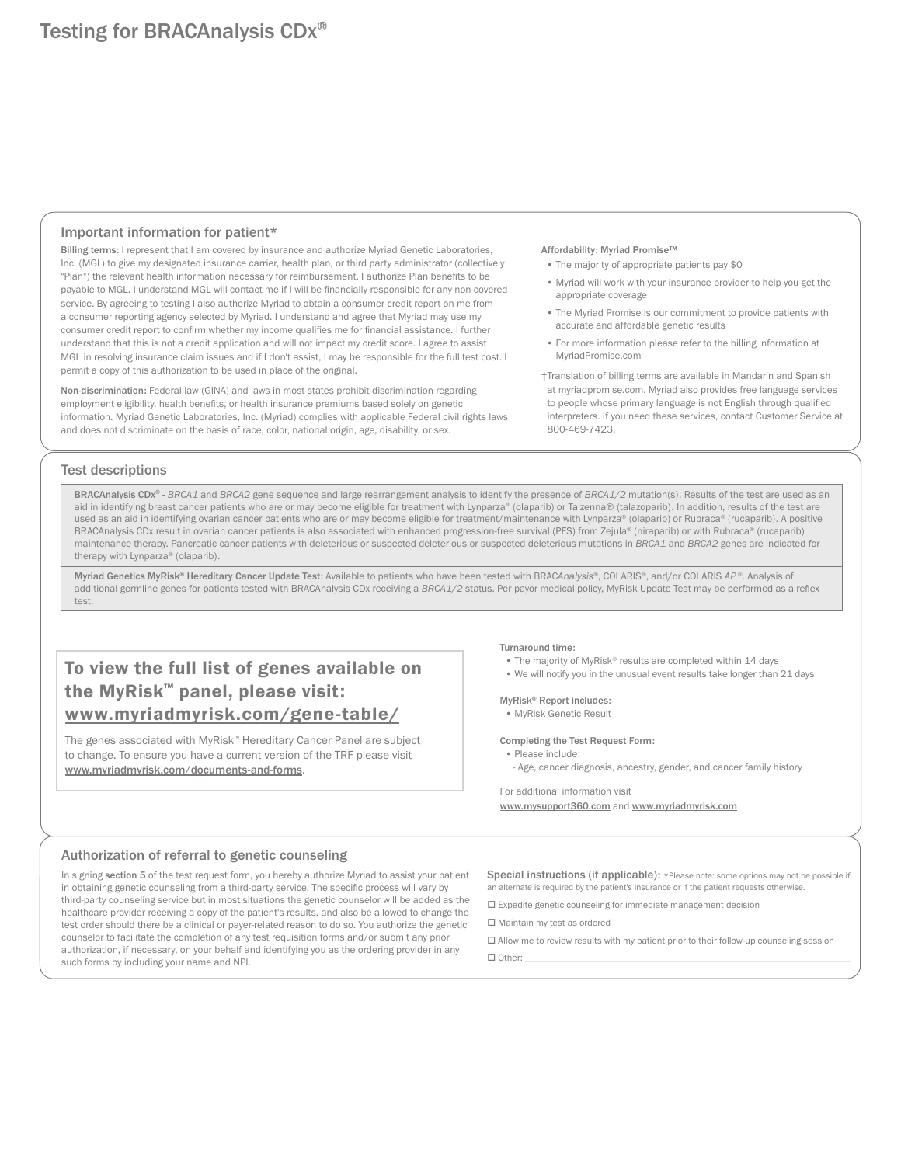#### Important information for patient\*

Billing terms: I represent that I am covered by insurance and authorize Myriad Genetic Laboratories, Inc. (MGL) to give my designated insurance carrier, health plan, or third party administrator (collectively "Plan") the relevant health information necessary for reimbursement. I authorize Plan benefits to be payable to MGL. I understand MGL will contact me if I will be financially responsible for any non-covered service. By agreeing to testing I also authorize Myriad to obtain a consumer credit report on me from a consumer reporting agency selected by Myriad. I understand and agree that Myriad may use my consumer credit report to confirm whether my income qualifies me for financial assistance. I further understand that this is not a credit application and will not impact my credit score. I agree to assist MGL in resolving insurance claim issues and if I don't assist, I may be responsible for the full test cost. I permit a copy of this authorization to be used in place of the original.

Non-discrimination: Federal law (GINA) and laws in most states prohibit discrimination regarding employment eligibility, health benefits, or health insurance premiums based solely on genetic information. Myriad Genetic Laboratories, Inc. (Myriad) complies with applicable Federal civil rights laws and does not discriminate on the basis of race, color, national origin, age, disability, or sex.

#### Affordability: Myriad Promise™

- The majority of appropriate patients pay \$0
- Myriad will work with your insurance provider to help you get the appropriate coverage
- The Myriad Promise is our commitment to provide patients with accurate and affordable genetic results
- For more information please refer to the billing information at MyriadPromise.com

†Translation of billing terms are available in Mandarin and Spanish at myriadpromise.com. Myriad also provides free language services to people whose primary language is not English through qualified interpreters. If you need these services, contact Customer Service at 800-469-7423.

#### Test descriptions

BRACAnalysis CDx® - *BRCA1* and *BRCA2* gene sequence and large rearrangement analysis to identify the presence of *BRCA1/2* mutation(s). Results of the test are used as an aid in identifying breast cancer patients who are or may become eligible for treatment with Lynparza® (olaparib) or Talzenna® (talazoparib). In addition, results of the test are used as an aid in identifying ovarian cancer patients who are or may become eligible for treatment/maintenance with Lynparza® (olaparib) or Rubraca® (rucaparib). A positive BRACAnalysis CDx result in ovarian cancer patients is also associated with enhanced progression-free survival (PFS) from Zejula® (niraparib) or with Rubraca® (rucaparib) maintenance therapy. Pancreatic cancer patients with deleterious or suspected deleterious or suspected deleterious mutations in *BRCA1* and *BRCA2* genes are indicated for therapy with Lynparza® (olaparib).

Myriad Genetics MyRisk® Hereditary Cancer Update Test: Available to patients who have been tested with BRAC*Analysis*®, COLARIS®, and/or COLARIS *AP* ®. Analysis of additional germline genes for patients tested with BRACAnalysis CDx receiving a *BRCA1/2* status. Per payor medical policy, MyRisk Update Test may be performed as a reflex test.

# To view the full list of genes available on the MyRisk™ panel, please visit: www.myriadmyrisk.com/gene-table/

The genes associated with MyRisk™ Hereditary Cancer Panel are subject to change. To ensure you have a current version of the TRF please visit www.myriadmyrisk.com/documents-and-forms.

#### Turnaround time:

- The majority of MyRisk® results are completed within 14 days
- We will notify you in the unusual event results take longer than 21 days

#### MyRisk® Report includes:

• MyRisk Genetic Result

#### Completing the Test Request Form:

- Please include:
- Age, cancer diagnosis, ancestry, gender, and cancer family history

For additional information visit www.mysupport360.com and www.myriadmyrisk.com

#### Authorization of referral to genetic counseling

In signing section 5 of the test request form, you hereby authorize Myriad to assist your patient in obtaining genetic counseling from a third-party service. The specific process will vary by third-party counseling service but in most situations the genetic counselor will be added as the healthcare provider receiving a copy of the patient's results, and also be allowed to change the test order should there be a clinical or payer-related reason to do so. You authorize the genetic counselor to facilitate the completion of any test requisition forms and/or submit any prior authorization, if necessary, on your behalf and identifying you as the ordering provider in any such forms by including your name and NPI.

Special instructions (if applicable): \*Please note: some options may not be possible if an alternate is required by the patient's insurance or if the patient requests otherwise.

Expedite genetic counseling for immediate management decision

Maintain my test as ordered

- $\Box$  Allow me to review results with my patient prior to their follow-up counseling session
- Other: \_\_\_\_\_\_\_\_\_\_\_\_\_\_\_\_\_\_\_\_\_\_\_\_\_\_\_\_\_\_\_\_\_\_\_\_\_\_\_\_\_\_\_\_\_\_\_\_\_\_\_\_\_\_\_\_\_\_\_\_\_\_\_\_\_\_\_\_